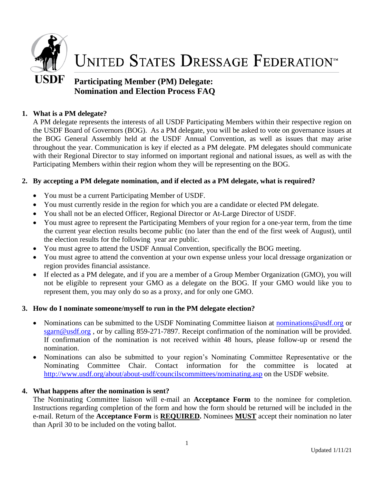

# **UNITED STATES DRESSAGE FEDERATION**<sup>™</sup>

# **Participating Member (PM) Delegate: Nomination and Election Process FAQ**

# **1. What is a PM delegate?**

A PM delegate represents the interests of all USDF Participating Members within their respective region on the USDF Board of Governors (BOG). As a PM delegate, you will be asked to vote on governance issues at the BOG General Assembly held at the USDF Annual Convention, as well as issues that may arise throughout the year. Communication is key if elected as a PM delegate. PM delegates should communicate with their Regional Director to stay informed on important regional and national issues, as well as with the Participating Members within their region whom they will be representing on the BOG.

# **2. By accepting a PM delegate nomination, and if elected as a PM delegate, what is required?**

- You must be a current Participating Member of USDF.
- You must currently reside in the region for which you are a candidate or elected PM delegate.
- You shall not be an elected Officer, Regional Director or At-Large Director of USDF.
- You must agree to represent the Participating Members of your region for a one-year term, from the time the current year election results become public (no later than the end of the first week of August), until the election results for the following year are public.
- You must agree to attend the USDF Annual Convention, specifically the BOG meeting.
- You must agree to attend the convention at your own expense unless your local dressage organization or region provides financial assistance.
- If elected as a PM delegate, and if you are a member of a Group Member Organization (GMO), you will not be eligible to represent your GMO as a delegate on the BOG. If your GMO would like you to represent them, you may only do so as a proxy, and for only one GMO.

# **3. How do I nominate someone/myself to run in the PM delegate election?**

- Nominations can be submitted to the USDF Nominating Committee liaison at nominations @usdf.org or [sgarn@usdf.org](mailto:sgarn@usdf.org), or by calling 859-271-7897. Receipt confirmation of the nomination will be provided. If confirmation of the nomination is not received within 48 hours, please follow-up or resend the nomination.
- Nominations can also be submitted to your region's Nominating Committee Representative or the Nominating Committee Chair. Contact information for the committee is located at <http://www.usdf.org/about/about-usdf/councilscommittees/nominating.asp> on the USDF website.

# **4. What happens after the nomination is sent?**

The Nominating Committee liaison will e-mail an **Acceptance Form** to the nominee for completion. Instructions regarding completion of the form and how the form should be returned will be included in the e-mail. Return of the **Acceptance Form** is **REQUIRED.** Nominees **MUST** accept their nomination no later than April 30 to be included on the voting ballot.